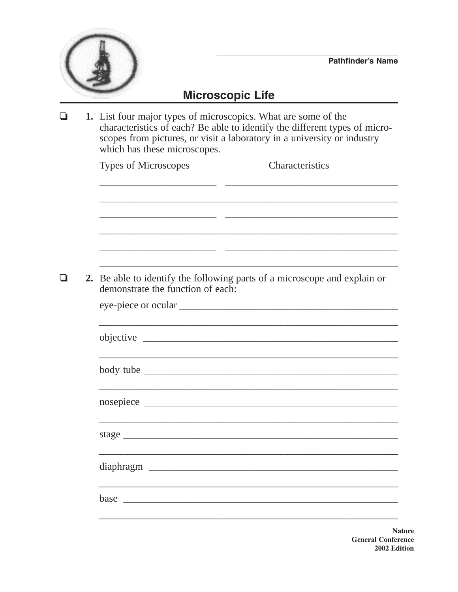

## **Microscopic Life**

 $\Box$ 1. List four major types of microscopics. What are some of the characteristics of each? Be able to identify the different types of microscopes from pictures, or visit a laboratory in a university or industry which has these microscopes. **Characteristics Types of Microscopes** 2. Be able to identify the following parts of a microscope and explain or  $\Box$ demonstrate the function of each: body tube stage example and the stage of the stage of the stage of the stage of the stage of the stage of the stage of the stage of the stage of the stage of the stage of the stage of the stage of the stage of the stage of the stage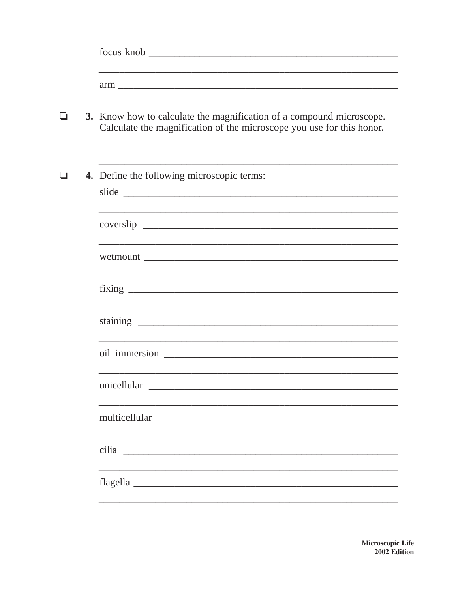| ப | 3. Know how to calculate the magnification of a compound microscope.<br>Calculate the magnification of the microscope you use for this honor. |  |  |  |  |  |  |
|---|-----------------------------------------------------------------------------------------------------------------------------------------------|--|--|--|--|--|--|
|   | 4. Define the following microscopic terms:                                                                                                    |  |  |  |  |  |  |
|   |                                                                                                                                               |  |  |  |  |  |  |
|   |                                                                                                                                               |  |  |  |  |  |  |
|   |                                                                                                                                               |  |  |  |  |  |  |
|   |                                                                                                                                               |  |  |  |  |  |  |
|   |                                                                                                                                               |  |  |  |  |  |  |
|   | unicellular<br><u> 1980 - Johann John Stein, marwolaeth a bhaile an t-Alban Stein an t-Alban Stein ann an t-Alban Stein an t-Alb</u>          |  |  |  |  |  |  |
|   |                                                                                                                                               |  |  |  |  |  |  |
|   |                                                                                                                                               |  |  |  |  |  |  |
|   |                                                                                                                                               |  |  |  |  |  |  |
|   |                                                                                                                                               |  |  |  |  |  |  |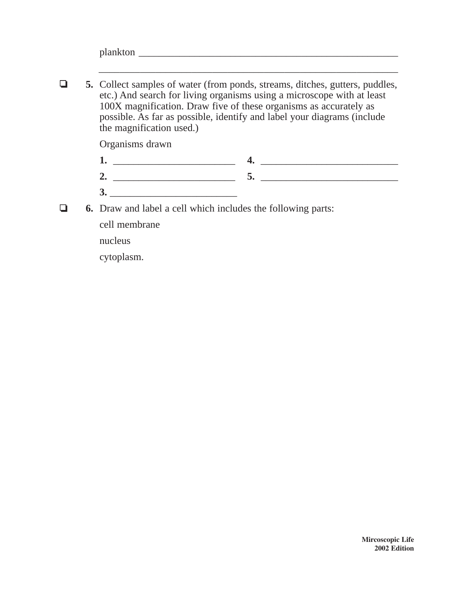| - |  |  |  |
|---|--|--|--|
|   |  |  |  |

\_\_\_\_\_\_\_\_\_\_\_\_\_\_\_\_\_\_\_\_\_\_\_\_\_\_\_\_\_\_\_\_\_\_\_\_\_\_\_\_\_\_\_\_\_\_\_\_\_\_\_\_\_\_\_\_\_\_

 $\Box$  **5.** Collect samples of water (from ponds, streams, ditches, gutters, puddles, etc.) And search for living organisms using a microscope with at least 100X magnification. Draw five of these organisms as accurately as possible. As far as possible, identify and label your diagrams (include the magnification used.)

Organisms drawn

- **1.** \_\_\_\_\_\_\_\_\_\_\_\_\_\_\_\_\_\_\_\_\_\_\_\_ **4.** \_\_\_\_\_\_\_\_\_\_\_\_\_\_\_\_\_\_\_\_\_\_\_\_\_\_\_ **2.** \_\_\_\_\_\_\_\_\_\_\_\_\_\_\_\_\_\_\_\_\_\_\_\_ **5.** \_\_\_\_\_\_\_\_\_\_\_\_\_\_\_\_\_\_\_\_\_\_\_\_\_\_\_
- **3.** \_\_\_\_\_\_\_\_\_\_\_\_\_\_\_\_\_\_\_\_\_\_\_\_\_ **6.** Draw and label a cell which includes the following parts:
- $\Box$

cell membrane

nucleus

cytoplasm.